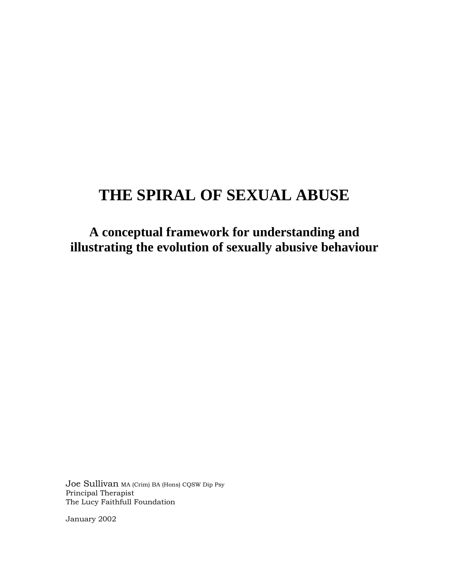# **THE SPIRAL OF SEXUAL ABUSE**

**A conceptual framework for understanding and illustrating the evolution of sexually abusive behaviour**

Joe Sullivan MA (Crim) BA (Hons) CQSW Dip Psy Principal Therapist The Lucy Faithfull Foundation

January 2002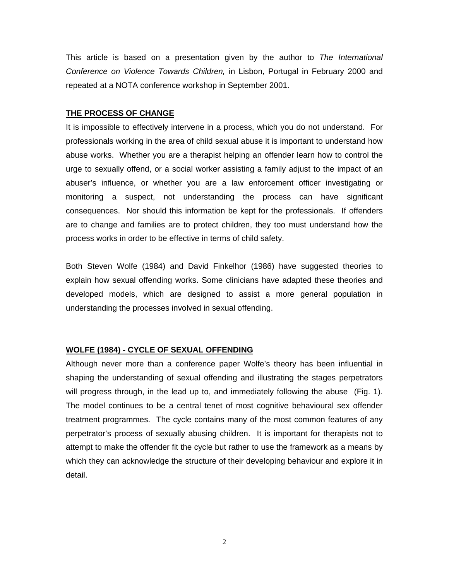This article is based on a presentation given by the author to *The International Conference on Violence Towards Children,* in Lisbon, Portugal in February 2000 and repeated at a NOTA conference workshop in September 2001.

#### **THE PROCESS OF CHANGE**

It is impossible to effectively intervene in a process, which you do not understand. For professionals working in the area of child sexual abuse it is important to understand how abuse works. Whether you are a therapist helping an offender learn how to control the urge to sexually offend, or a social worker assisting a family adjust to the impact of an abuser's influence, or whether you are a law enforcement officer investigating or monitoring a suspect, not understanding the process can have significant consequences. Nor should this information be kept for the professionals. If offenders are to change and families are to protect children, they too must understand how the process works in order to be effective in terms of child safety.

Both Steven Wolfe (1984) and David Finkelhor (1986) have suggested theories to explain how sexual offending works. Some clinicians have adapted these theories and developed models, which are designed to assist a more general population in understanding the processes involved in sexual offending.

#### **WOLFE (1984) - CYCLE OF SEXUAL OFFENDING**

Although never more than a conference paper Wolfe's theory has been influential in shaping the understanding of sexual offending and illustrating the stages perpetrators will progress through, in the lead up to, and immediately following the abuse (Fig. 1). The model continues to be a central tenet of most cognitive behavioural sex offender treatment programmes. The cycle contains many of the most common features of any perpetrator's process of sexually abusing children. It is important for therapists not to attempt to make the offender fit the cycle but rather to use the framework as a means by which they can acknowledge the structure of their developing behaviour and explore it in detail.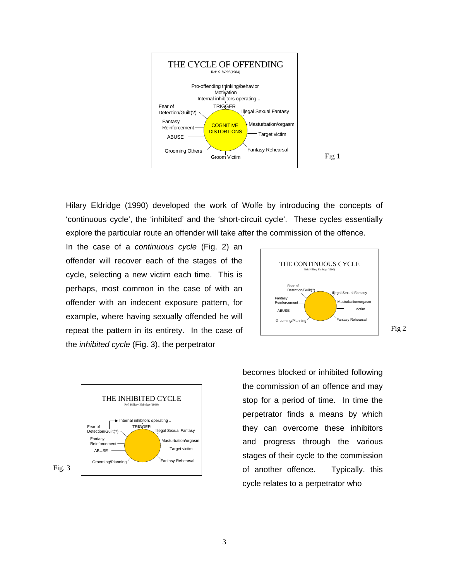

Hilary Eldridge (1990) developed the work of Wolfe by introducing the concepts of 'continuous cycle', the 'inhibited' and the 'short-circuit cycle'. These cycles essentially explore the particular route an offender will take after the commission of the offence.

In the case of a *continuous cycle* (Fig. 2) an offender will recover each of the stages of the cycle, selecting a new victim each time. This is perhaps, most common in the case of with an offender with an indecent exposure pattern, for example, where having sexually offended he will repeat the pattern in its entirety. In the case of the *inhibited cycle* (Fig. 3), the perpetrator





Fig 2

becomes blocked or inhibited following the commission of an offence and may stop for a period of time. In time the perpetrator finds a means by which they can overcome these inhibitors and progress through the various stages of their cycle to the commission of another offence. Typically, this cycle relates to a perpetrator who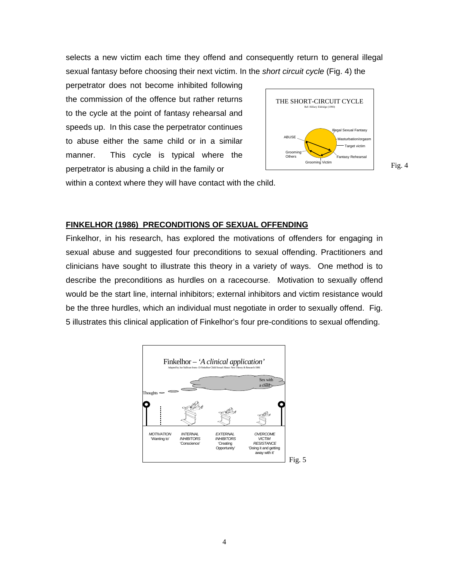selects a new victim each time they offend and consequently return to general illegal sexual fantasy before choosing their next victim. In the *short circuit cycle* (Fig. 4) the

perpetrator does not become inhibited following the commission of the offence but rather returns to the cycle at the point of fantasy rehearsal and speeds up. In this case the perpetrator continues to abuse either the same child or in a similar manner. This cycle is typical where the perpetrator is abusing a child in the family or



within a context where they will have contact with the child.

#### **FINKELHOR (1986) PRECONDITIONS OF SEXUAL OFFENDING**

Finkelhor, in his research, has explored the motivations of offenders for engaging in sexual abuse and suggested four preconditions to sexual offending. Practitioners and clinicians have sought to illustrate this theory in a variety of ways. One method is to describe the preconditions as hurdles on a racecourse. Motivation to sexually offend would be the start line, internal inhibitors; external inhibitors and victim resistance would be the three hurdles, which an individual must negotiate in order to sexually offend. Fig. 5 illustrates this clinical application of Finkelhor's four pre-conditions to sexual offending.

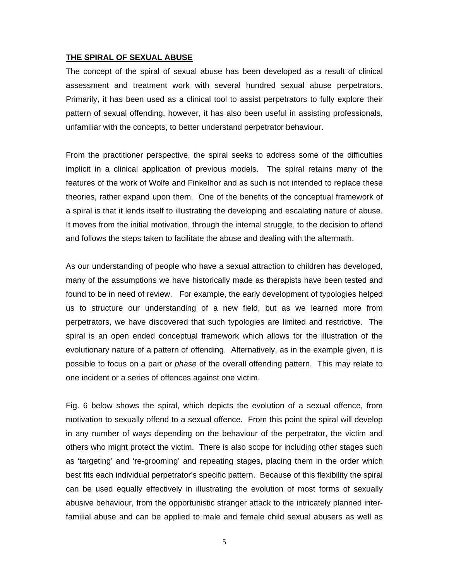#### **THE SPIRAL OF SEXUAL ABUSE**

The concept of the spiral of sexual abuse has been developed as a result of clinical assessment and treatment work with several hundred sexual abuse perpetrators. Primarily, it has been used as a clinical tool to assist perpetrators to fully explore their pattern of sexual offending, however, it has also been useful in assisting professionals, unfamiliar with the concepts, to better understand perpetrator behaviour.

From the practitioner perspective, the spiral seeks to address some of the difficulties implicit in a clinical application of previous models. The spiral retains many of the features of the work of Wolfe and Finkelhor and as such is not intended to replace these theories, rather expand upon them. One of the benefits of the conceptual framework of a spiral is that it lends itself to illustrating the developing and escalating nature of abuse. It moves from the initial motivation, through the internal struggle, to the decision to offend and follows the steps taken to facilitate the abuse and dealing with the aftermath.

As our understanding of people who have a sexual attraction to children has developed, many of the assumptions we have historically made as therapists have been tested and found to be in need of review. For example, the early development of typologies helped us to structure our understanding of a new field, but as we learned more from perpetrators, we have discovered that such typologies are limited and restrictive. The spiral is an open ended conceptual framework which allows for the illustration of the evolutionary nature of a pattern of offending. Alternatively, as in the example given, it is possible to focus on a part or *phase* of the overall offending pattern. This may relate to one incident or a series of offences against one victim.

Fig. 6 below shows the spiral, which depicts the evolution of a sexual offence, from motivation to sexually offend to a sexual offence. From this point the spiral will develop in any number of ways depending on the behaviour of the perpetrator, the victim and others who might protect the victim. There is also scope for including other stages such as 'targeting' and 're-grooming' and repeating stages, placing them in the order which best fits each individual perpetrator's specific pattern. Because of this flexibility the spiral can be used equally effectively in illustrating the evolution of most forms of sexually abusive behaviour, from the opportunistic stranger attack to the intricately planned interfamilial abuse and can be applied to male and female child sexual abusers as well as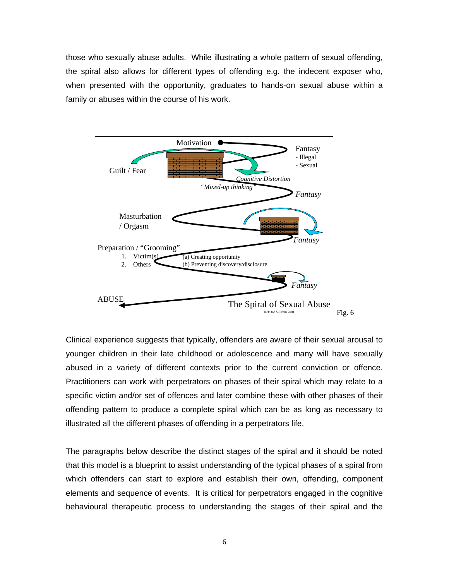those who sexually abuse adults. While illustrating a whole pattern of sexual offending, the spiral also allows for different types of offending e.g. the indecent exposer who, when presented with the opportunity, graduates to hands-on sexual abuse within a family or abuses within the course of his work.



Clinical experience suggests that typically, offenders are aware of their sexual arousal to younger children in their late childhood or adolescence and many will have sexually abused in a variety of different contexts prior to the current conviction or offence. Practitioners can work with perpetrators on phases of their spiral which may relate to a specific victim and/or set of offences and later combine these with other phases of their offending pattern to produce a complete spiral which can be as long as necessary to illustrated all the different phases of offending in a perpetrators life.

The paragraphs below describe the distinct stages of the spiral and it should be noted that this model is a blueprint to assist understanding of the typical phases of a spiral from which offenders can start to explore and establish their own, offending, component elements and sequence of events. It is critical for perpetrators engaged in the cognitive behavioural therapeutic process to understanding the stages of their spiral and the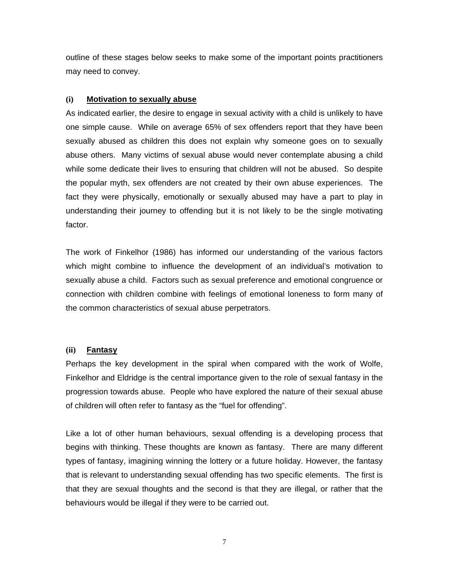outline of these stages below seeks to make some of the important points practitioners may need to convey.

### **(i) Motivation to sexually abuse**

As indicated earlier, the desire to engage in sexual activity with a child is unlikely to have one simple cause. While on average 65% of sex offenders report that they have been sexually abused as children this does not explain why someone goes on to sexually abuse others. Many victims of sexual abuse would never contemplate abusing a child while some dedicate their lives to ensuring that children will not be abused. So despite the popular myth, sex offenders are not created by their own abuse experiences. The fact they were physically, emotionally or sexually abused may have a part to play in understanding their journey to offending but it is not likely to be the single motivating factor.

The work of Finkelhor (1986) has informed our understanding of the various factors which might combine to influence the development of an individual's motivation to sexually abuse a child. Factors such as sexual preference and emotional congruence or connection with children combine with feelings of emotional loneness to form many of the common characteristics of sexual abuse perpetrators.

#### **(ii) Fantasy**

Perhaps the key development in the spiral when compared with the work of Wolfe, Finkelhor and Eldridge is the central importance given to the role of sexual fantasy in the progression towards abuse. People who have explored the nature of their sexual abuse of children will often refer to fantasy as the "fuel for offending".

Like a lot of other human behaviours, sexual offending is a developing process that begins with thinking. These thoughts are known as fantasy. There are many different types of fantasy, imagining winning the lottery or a future holiday. However, the fantasy that is relevant to understanding sexual offending has two specific elements. The first is that they are sexual thoughts and the second is that they are illegal, or rather that the behaviours would be illegal if they were to be carried out.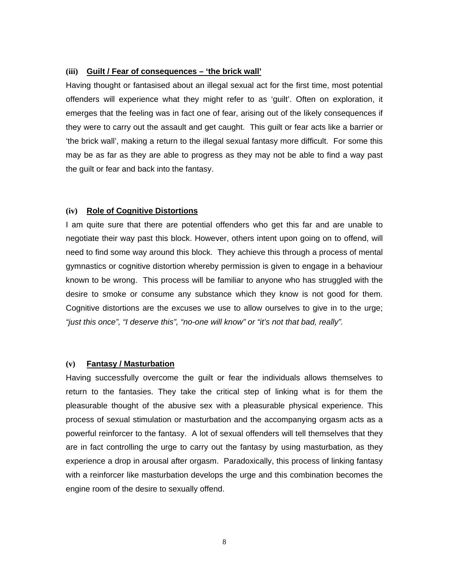#### **(iii) Guilt / Fear of consequences – 'the brick wall'**

Having thought or fantasised about an illegal sexual act for the first time, most potential offenders will experience what they might refer to as 'guilt'. Often on exploration, it emerges that the feeling was in fact one of fear, arising out of the likely consequences if they were to carry out the assault and get caught. This guilt or fear acts like a barrier or 'the brick wall', making a return to the illegal sexual fantasy more difficult. For some this may be as far as they are able to progress as they may not be able to find a way past the guilt or fear and back into the fantasy.

#### **(iv) Role of Cognitive Distortions**

I am quite sure that there are potential offenders who get this far and are unable to negotiate their way past this block. However, others intent upon going on to offend, will need to find some way around this block. They achieve this through a process of mental gymnastics or cognitive distortion whereby permission is given to engage in a behaviour known to be wrong. This process will be familiar to anyone who has struggled with the desire to smoke or consume any substance which they know is not good for them. Cognitive distortions are the excuses we use to allow ourselves to give in to the urge; *"just this once", "I deserve this", "no-one will know" or "it's not that bad, really".* 

#### **(v) Fantasy / Masturbation**

Having successfully overcome the guilt or fear the individuals allows themselves to return to the fantasies. They take the critical step of linking what is for them the pleasurable thought of the abusive sex with a pleasurable physical experience. This process of sexual stimulation or masturbation and the accompanying orgasm acts as a powerful reinforcer to the fantasy. A lot of sexual offenders will tell themselves that they are in fact controlling the urge to carry out the fantasy by using masturbation, as they experience a drop in arousal after orgasm. Paradoxically, this process of linking fantasy with a reinforcer like masturbation develops the urge and this combination becomes the engine room of the desire to sexually offend.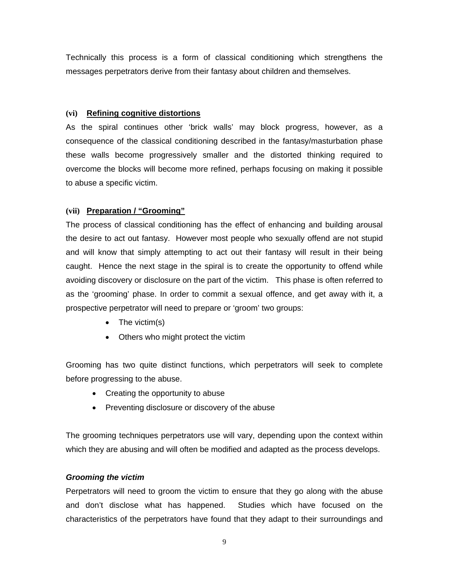Technically this process is a form of classical conditioning which strengthens the messages perpetrators derive from their fantasy about children and themselves.

## **(vi) Refining cognitive distortions**

As the spiral continues other 'brick walls' may block progress, however, as a consequence of the classical conditioning described in the fantasy/masturbation phase these walls become progressively smaller and the distorted thinking required to overcome the blocks will become more refined, perhaps focusing on making it possible to abuse a specific victim.

## **(vii) Preparation / "Grooming"**

The process of classical conditioning has the effect of enhancing and building arousal the desire to act out fantasy. However most people who sexually offend are not stupid and will know that simply attempting to act out their fantasy will result in their being caught. Hence the next stage in the spiral is to create the opportunity to offend while avoiding discovery or disclosure on the part of the victim. This phase is often referred to as the 'grooming' phase. In order to commit a sexual offence, and get away with it, a prospective perpetrator will need to prepare or 'groom' two groups:

- $\bullet$  The victim(s)
- Others who might protect the victim

Grooming has two quite distinct functions, which perpetrators will seek to complete before progressing to the abuse.

- Creating the opportunity to abuse
- Preventing disclosure or discovery of the abuse

The grooming techniques perpetrators use will vary, depending upon the context within which they are abusing and will often be modified and adapted as the process develops.

## *Grooming the victim*

Perpetrators will need to groom the victim to ensure that they go along with the abuse and don't disclose what has happened. Studies which have focused on the characteristics of the perpetrators have found that they adapt to their surroundings and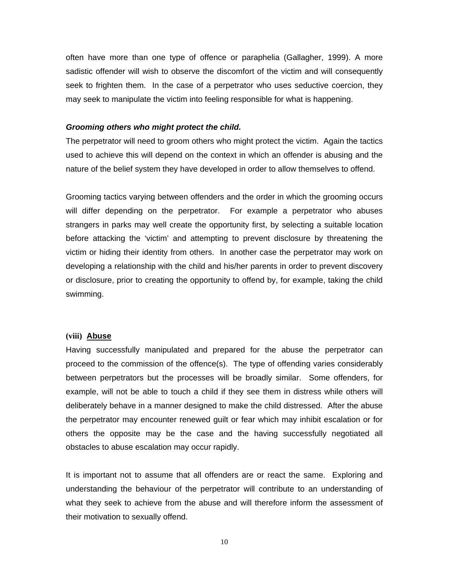often have more than one type of offence or paraphelia (Gallagher, 1999). A more sadistic offender will wish to observe the discomfort of the victim and will consequently seek to frighten them. In the case of a perpetrator who uses seductive coercion, they may seek to manipulate the victim into feeling responsible for what is happening.

#### *Grooming others who might protect the child.*

The perpetrator will need to groom others who might protect the victim. Again the tactics used to achieve this will depend on the context in which an offender is abusing and the nature of the belief system they have developed in order to allow themselves to offend.

Grooming tactics varying between offenders and the order in which the grooming occurs will differ depending on the perpetrator. For example a perpetrator who abuses strangers in parks may well create the opportunity first, by selecting a suitable location before attacking the 'victim' and attempting to prevent disclosure by threatening the victim or hiding their identity from others. In another case the perpetrator may work on developing a relationship with the child and his/her parents in order to prevent discovery or disclosure, prior to creating the opportunity to offend by, for example, taking the child swimming.

#### **(viii) Abuse**

Having successfully manipulated and prepared for the abuse the perpetrator can proceed to the commission of the offence(s). The type of offending varies considerably between perpetrators but the processes will be broadly similar. Some offenders, for example, will not be able to touch a child if they see them in distress while others will deliberately behave in a manner designed to make the child distressed. After the abuse the perpetrator may encounter renewed guilt or fear which may inhibit escalation or for others the opposite may be the case and the having successfully negotiated all obstacles to abuse escalation may occur rapidly.

It is important not to assume that all offenders are or react the same. Exploring and understanding the behaviour of the perpetrator will contribute to an understanding of what they seek to achieve from the abuse and will therefore inform the assessment of their motivation to sexually offend.